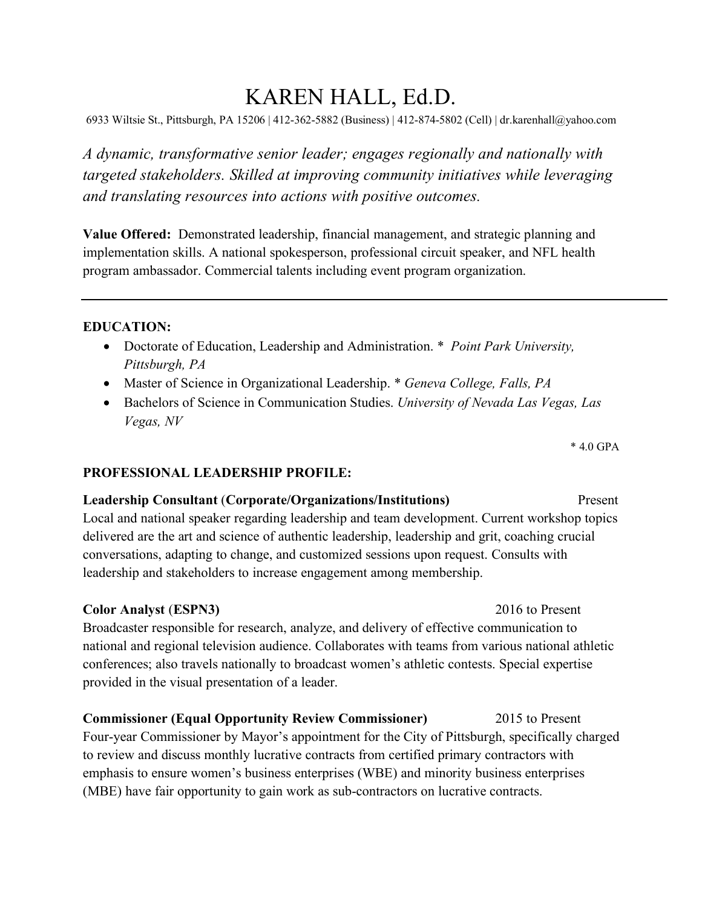# KAREN HALL, Ed.D.

6933 Wiltsie St., Pittsburgh, PA 15206 | 412-362-5882 (Business) | 412-874-5802 (Cell) | dr.karenhall@yahoo.com

*A dynamic, transformative senior leader; engages regionally and nationally with targeted stakeholders. Skilled at improving community initiatives while leveraging and translating resources into actions with positive outcomes.*

**Value Offered:** Demonstrated leadership, financial management, and strategic planning and implementation skills. A national spokesperson, professional circuit speaker, and NFL health program ambassador. Commercial talents including event program organization.

### **EDUCATION:**

- Doctorate of Education, Leadership and Administration. \* *Point Park University, Pittsburgh, PA*
- Master of Science in Organizational Leadership. \* *Geneva College, Falls, PA*
- Bachelors of Science in Communication Studies. *University of Nevada Las Vegas, Las Vegas, NV*

\* 4.0 GPA

#### **PROFESSIONAL LEADERSHIP PROFILE:**

#### **Leadership Consultant** (**Corporate/Organizations/Institutions)** Present

Local and national speaker regarding leadership and team development. Current workshop topics delivered are the art and science of authentic leadership, leadership and grit, coaching crucial conversations, adapting to change, and customized sessions upon request. Consults with leadership and stakeholders to increase engagement among membership.

#### **Color Analyst** (**ESPN3)** 2016 to Present

Broadcaster responsible for research, analyze, and delivery of effective communication to national and regional television audience. Collaborates with teams from various national athletic conferences; also travels nationally to broadcast women's athletic contests. Special expertise provided in the visual presentation of a leader.

**Commissioner (Equal Opportunity Review Commissioner)** 2015 to Present Four-year Commissioner by Mayor's appointment for the City of Pittsburgh, specifically charged to review and discuss monthly lucrative contracts from certified primary contractors with emphasis to ensure women's business enterprises (WBE) and minority business enterprises (MBE) have fair opportunity to gain work as sub-contractors on lucrative contracts.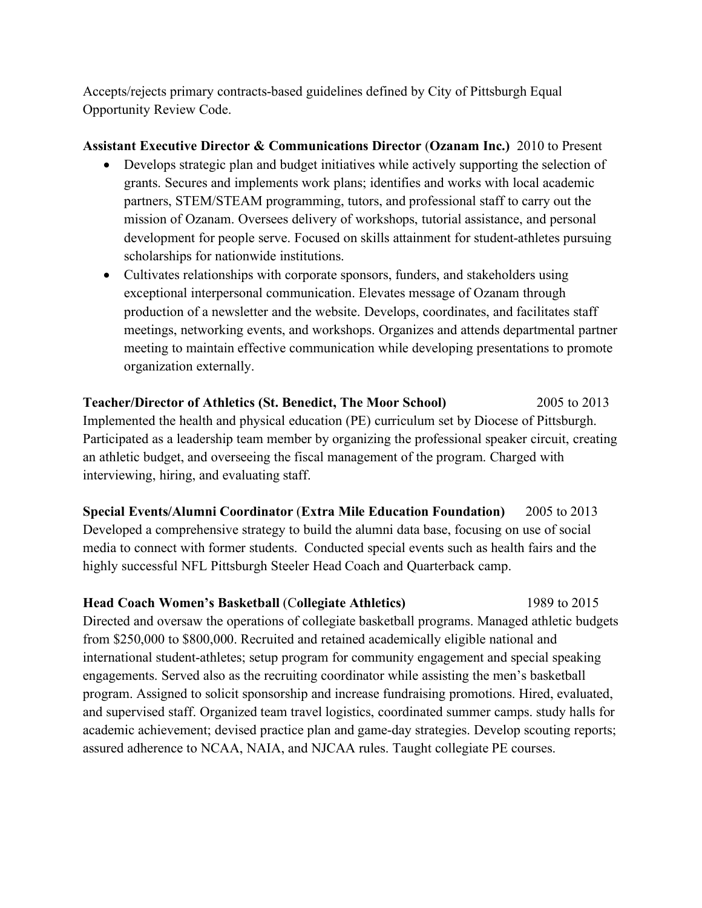Accepts/rejects primary contracts-based guidelines defined by City of Pittsburgh Equal Opportunity Review Code.

## **Assistant Executive Director & Communications Director** (**Ozanam Inc.)** 2010 to Present

- Develops strategic plan and budget initiatives while actively supporting the selection of grants. Secures and implements work plans; identifies and works with local academic partners, STEM/STEAM programming, tutors, and professional staff to carry out the mission of Ozanam. Oversees delivery of workshops, tutorial assistance, and personal development for people serve. Focused on skills attainment for student-athletes pursuing scholarships for nationwide institutions.
- Cultivates relationships with corporate sponsors, funders, and stakeholders using exceptional interpersonal communication. Elevates message of Ozanam through production of a newsletter and the website. Develops, coordinates, and facilitates staff meetings, networking events, and workshops. Organizes and attends departmental partner meeting to maintain effective communication while developing presentations to promote organization externally.

# **Teacher/Director of Athletics (St. Benedict, The Moor School)** 2005 to 2013 Implemented the health and physical education (PE) curriculum set by Diocese of Pittsburgh. Participated as a leadership team member by organizing the professional speaker circuit, creating an athletic budget, and overseeing the fiscal management of the program. Charged with interviewing, hiring, and evaluating staff.

**Special Events/Alumni Coordinator** (**Extra Mile Education Foundation)** 2005 to 2013 Developed a comprehensive strategy to build the alumni data base, focusing on use of social media to connect with former students. Conducted special events such as health fairs and the highly successful NFL Pittsburgh Steeler Head Coach and Quarterback camp.

## **Head Coach Women's Basketball** (C**ollegiate Athletics)** 1989 to 2015

Directed and oversaw the operations of collegiate basketball programs. Managed athletic budgets from \$250,000 to \$800,000. Recruited and retained academically eligible national and international student-athletes; setup program for community engagement and special speaking engagements. Served also as the recruiting coordinator while assisting the men's basketball program. Assigned to solicit sponsorship and increase fundraising promotions. Hired, evaluated, and supervised staff. Organized team travel logistics, coordinated summer camps. study halls for academic achievement; devised practice plan and game-day strategies. Develop scouting reports; assured adherence to NCAA, NAIA, and NJCAA rules. Taught collegiate PE courses.